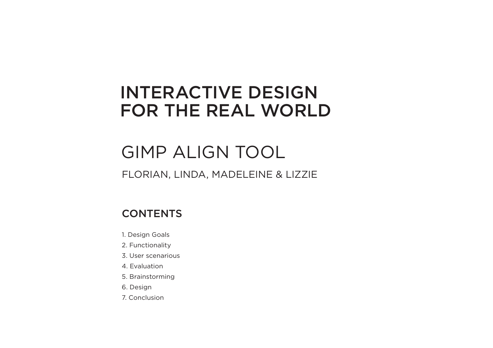# INTERACTIVE DESIGN FOR THE REAL WORLD

# GIMP Align Tool

# Florian, Linda, Madeleine & Lizzie

# **CONTENTS**

- 1. Design Goals
- 2. Functionality
- 3. User scenarious
- 4. Evaluation
- 5. Brainstorming
- 6. Design
- 7. Conclusion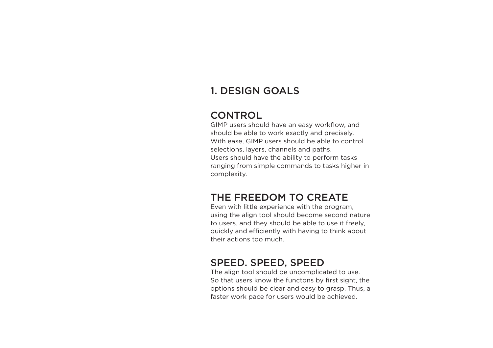# 1. design Goals

### **CONTROL**

GIMP users should have an easy workflow, and should be able to work exactly and precisely. With ease, GIMP users should be able to control selections, layers, channels and paths. Users should have the ability to perform tasks ranging from simple commands to tasks higher in complexity.

# The freedom to create

Even with little experience with the program, using the align tool should become second nature to users, and they should be able to use it freely, quickly and efficiently with having to think about their actions too much.

### Speed. Speed, speed

The align tool should be uncomplicated to use. So that users know the functons by first sight, the options should be clear and easy to grasp. Thus, a faster work pace for users would be achieved.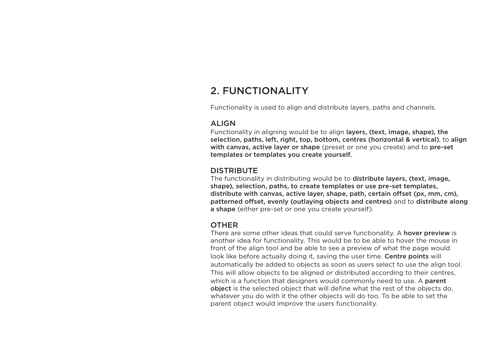# 2. FUNCTIONALITY

Functionality is used to align and distribute layers, paths and channels.

#### **ALIGN**

Functionality in aligning would be to align layers, (text, image, shape), the selection, paths, left, right, top, bottom, centres (horizontal & vertical), to align with canvas, active layer or shape (preset or one you create) and to pre-set templates or templates you create yourself.

### **DISTRIBUTE**

The functionality in distributing would be to distribute layers, (text, image, shape), selection, paths, to create templates or use pre-set templates, distribute with canvas, active layer, shape, path, certain offset (px, mm, cm), patterned offset, evenly (outlaying objects and centres) and to distribute along a shape (either pre-set or one you create yourself).

### **OTHER**

There are some other ideas that could serve functionality. A **hover preview** is another idea for functionality. This would be to be able to hover the mouse in front of the align tool and be able to see a preview of what the page would look like before actually doing it, saving the user time. Centre points will automatically be added to objects as soon as users select to use the align tool. This will allow objects to be aligned or distributed according to their centres, which is a function that designers would commonly need to use. A **parent** object is the selected object that will define what the rest of the objects do, whatever you do with it the other objects will do too. To be able to set the parent object would improve the users functionality.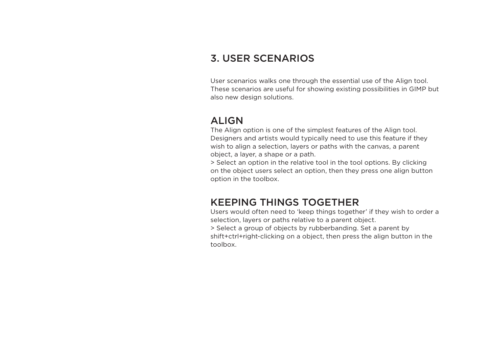# 3. User Scenarios

User scenarios walks one through the essential use of the Align tool. These scenarios are useful for showing existing possibilities in GIMP but also new design solutions.

# **ALIGN**

The Align option is one of the simplest features of the Align tool. Designers and artists would typically need to use this feature if they wish to align a selection, layers or paths with the canvas, a parent object, a layer, a shape or a path.

> Select an option in the relative tool in the tool options. By clicking on the object users select an option, then they press one align button option in the toolbox.

# keeping things together

Users would often need to 'keep things together' if they wish to order a selection, layers or paths relative to a parent object.

> Select a group of objects by rubberbanding. Set a parent by shift+ctrl+right-clicking on a object, then press the align button in the toolbox.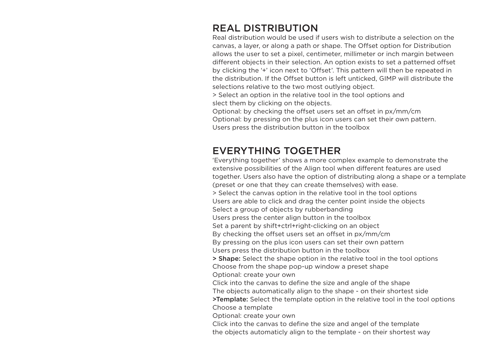# real distribution

Real distribution would be used if users wish to distribute a selection on the canvas, a layer, or along a path or shape. The Offset option for Distribution allows the user to set a pixel, centimeter, millimeter or inch margin between different objects in their selection. An option exists to set a patterned offset by clicking the '+' icon next to 'Offset'. This pattern will then be repeated in the distribution. If the Offset button is left unticked, GIMP will distribute the selections relative to the two most outlying object.

> Select an option in the relative tool in the tool options and slect them by clicking on the objects.

Optional: by checking the offset users set an offset in px/mm/cm Optional: by pressing on the plus icon users can set their own pattern. Users press the distribution button in the toolbox

# everything together

'Everything together' shows a more complex example to demonstrate the extensive possibilities of the Align tool when different features are used together. Users also have the option of distributing along a shape or a template (preset or one that they can create themselves) with ease. > Select the canvas option in the relative tool in the tool options Users are able to click and drag the center point inside the objects Select a group of objects by rubberbanding Users press the center align button in the toolbox Set a parent by shift+ctrl+right-clicking on an object By checking the offset users set an offset in px/mm/cm By pressing on the plus icon users can set their own pattern Users press the distribution button in the toolbox > Shape: Select the shape option in the relative tool in the tool options Choose from the shape pop-up window a preset shape Optional: create your own Click into the canvas to define the size and angle of the shape The objects automatically align to the shape - on their shortest side >Template: Select the template option in the relative tool in the tool options Choose a template Optional: create your own Click into the canvas to define the size and angel of the template

the objects automaticly align to the template - on their shortest way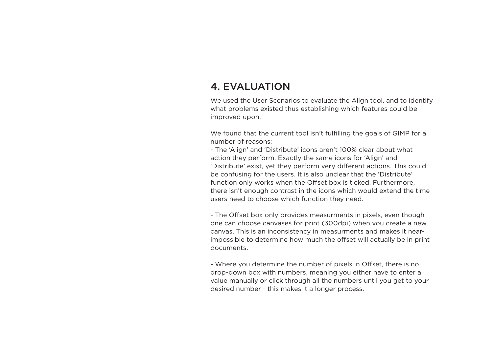## 4. Evaluation

We used the User Scenarios to evaluate the Align tool, and to identify what problems existed thus establishing which features could be improved upon.

We found that the current tool isn't fulfilling the goals of GIMP for a number of reasons:

- The 'Align' and 'Distribute' icons aren't 100% clear about what action they perform. Exactly the same icons for 'Align' and 'Distribute' exist, yet they perform very different actions. This could be confusing for the users. It is also unclear that the 'Distribute' function only works when the Offset box is ticked. Furthermore, there isn't enough contrast in the icons which would extend the time users need to choose which function they need.

- The Offset box only provides measurments in pixels, even though one can choose canvases for print (300dpi) when you create a new canvas. This is an inconsistency in measurments and makes it nearimpossible to determine how much the offset will actually be in print documents.

- Where you determine the number of pixels in Offset, there is no drop-down box with numbers, meaning you either have to enter a value manually or click through all the numbers until you get to your desired number - this makes it a longer process.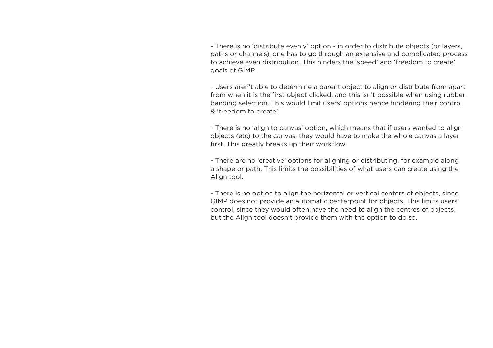- There is no 'distribute evenly' option - in order to distribute objects (or layers, paths or channels), one has to go through an extensive and complicated process to achieve even distribution. This hinders the 'speed' and 'freedom to create' goals of GIMP.

- Users aren't able to determine a parent object to align or distribute from apart from when it is the first object clicked, and this isn't possible when using rubberbanding selection. This would limit users' options hence hindering their control & 'freedom to create'.

- There is no 'align to canvas' option, which means that if users wanted to align objects (etc) to the canvas, they would have to make the whole canvas a layer first. This greatly breaks up their workflow.

- There are no 'creative' options for aligning or distributing, for example along a shape or path. This limits the possibilities of what users can create using the Align tool.

- There is no option to align the horizontal or vertical centers of objects, since GIMP does not provide an automatic centerpoint for objects. This limits users' control, since they would often have the need to align the centres of objects, but the Align tool doesn't provide them with the option to do so.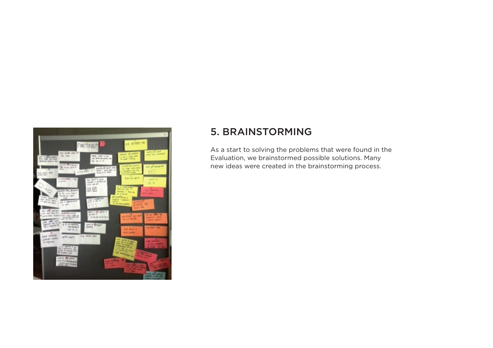

# 5. Brainstorming

As a start to solving the problems that were found in the Evaluation, we brainstormed possible solutions. Many new ideas were created in the brainstorming process.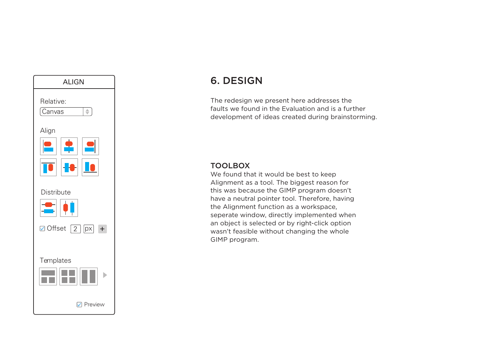

# 6. design

The redesign we present here addresses the faults we found in the Evaluation and is a further development of ideas created during brainstorming.

### **TOOLBOX**

We found that it would be best to keep Alignment as a tool. The biggest reason for this was because the GIMP program doesn't have a neutral pointer tool. Therefore, having the Alignment function as a workspace, seperate window, directly implemented when an object is selected or by right-click option wasn't feasible without changing the whole GIMP program.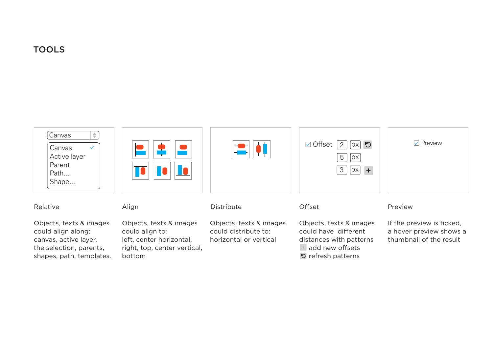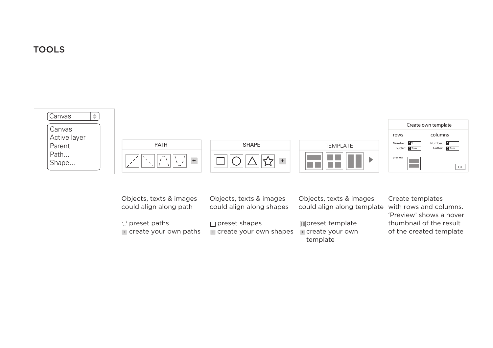



| Objects, texts & images                       | Objects, texts & images                            | Objects, texts & images                          | Create t           |
|-----------------------------------------------|----------------------------------------------------|--------------------------------------------------|--------------------|
| could align along path                        | could align along shapes                           | could align along template with rov              | 'Preview           |
| ∖ / preset paths<br>$+$ create your own paths | $\Box$ preset shapes<br>$+$ create your own shapes | preset template<br>+ create your own<br>template | thumbn<br>of the c |

templates ws and columns. w' shows a hover hail of the result reated template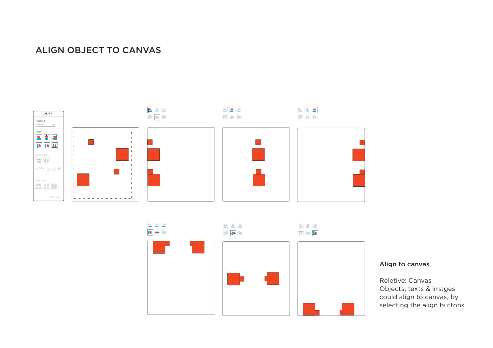# ALIGN OBJECt to canvas





### Align to canvas

Reletive: Canvas Objects, texts & images could align to canvas, by selecting the align buttons.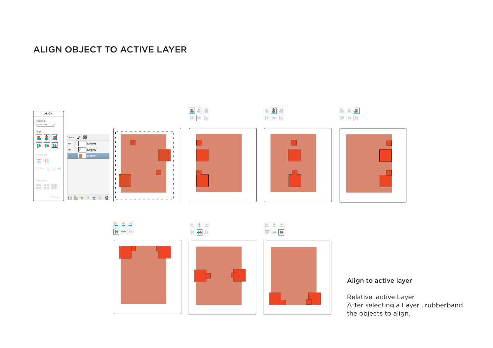# ALIGN OBJEcT to Active LAyer





### Align to active layer

Relative: active Layer After selecting a Layer , rubberband the objects to align.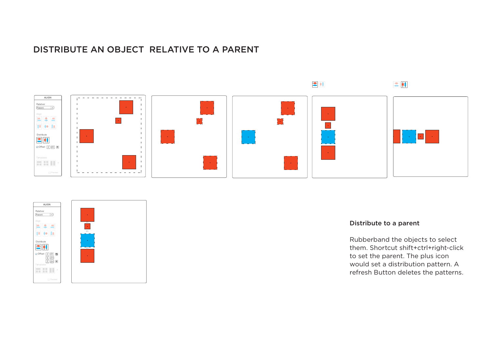# DISTRIBUTE AN OBJECT relative TO A PARENT





#### Distribute to a parent

Rubberband the objects to select them. Shortcut shift+ctrl+right-click to set the parent. The plus icon would set a distribution pattern. A refresh Button deletes the patterns.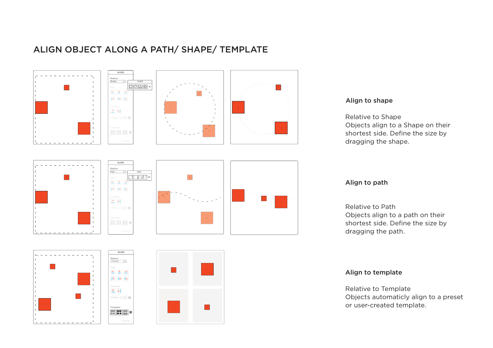# ALIGN OBJECT along a Path/ Shape/ Template



#### Align to shape

Relative to Shape Objects align to a Shape on their shortest side. Define the size by dragging the shape.

#### Align to path

Relative to Path Objects align to a path on their shortest side. Define the size by dragging the path.

#### Align to template

Relative to Template Objects automaticly align to a preset or user-created template.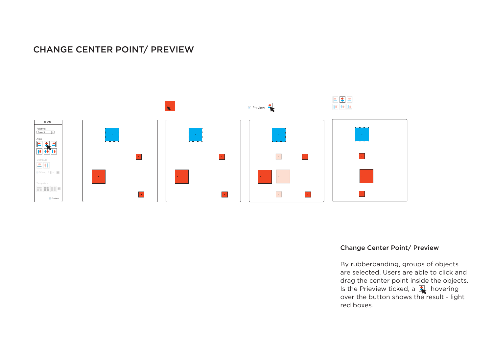### change center point/ Preview



### Change Center Point/ Preview

By rubberbanding, groups of objects are selected. Users are able to click and drag the center point inside the objects. Is the Prieview ticked, a  $\blacktriangle$  hovering over the button shows the result - light red boxes.